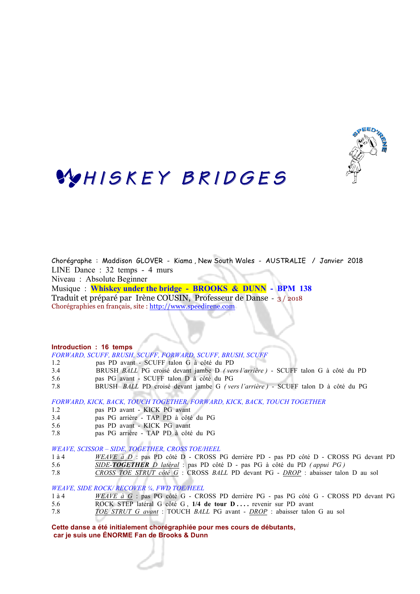

## WHISKEY BRIDGES

Chorégraphe : Maddison GLOVER - Kiama , New South Wales - AUSTRALIE / Janvier 2018 LINE Dance : 32 temps - 4 murs

Niveau : Absolute Beginner

Musique : **Whiskey under the bridge - BROOKS & DUNN - BPM 138** Traduit et préparé par Irène COUSIN, Professeur de Danse - 3 / 2018 Chorégraphies en français, site : http://www.speedirene.com

#### **Introduction : 16 temps**

*FORWARD, SCUFF, BRUSH, SCUFF, FORWARD, SCUFF, BRUSH, SCUFF*

- 1.2 pas PD avant SCUFF talon G à côté du PD
- 3.4 BRUSH *BALL* PG croisé devant jambe D *( vers l'arrière )* SCUFF talon G à côté du PD
- 5.6 pas PG avant SCUFF talon D à côté du PG
- 7.8 BRUSH *BALL* PD croisé devant jambe G *( vers l'arrière )* SCUFF talon D à côté du PG

*FORWARD, KICK, BACK, TOUCH TOGETHER, FORWARD, KICK, BACK, TOUCH TOGETHER*

- 1.2 pas PD avant KICK PG avant
- 3.4 pas PG arrière TAP PD à côté du PG
- 5.6 pas PD avant KICK PG avant
- 7.8 pas PG arrière TAP PD à côté du PG

*WEAVE, SCISSOR – SIDE, TOGETHER, CROSS TOE/HEEL*

- 1 à 4 *WEAVE à D* : pas PD côté D CROSS PG derrière PD pas PD côté D CROSS PG devant PD
- 5.6 *SIDE-TOGETHER D latéral* : pas PD côté D pas PG à côté du PD *( appui PG )*
- 7.8 *CROSS TOE STRUT côté G* : CROSS *BALL* PD devant PG *DROP* : abaisser talon D au sol

*WEAVE, SIDE ROCK/ RECOVER ¼, FWD TOE/HEEL*

- 1 à 4 *WEAVE à G* : pas PG côté G CROSS PD derrière PG pas PG côté G CROSS PD devant PG
- 5.6 ROCK STEP latéral G côté G , **1/4 de tour D . . . .** revenir sur PD avant
- 7.8 *TOE STRUT G avant* : TOUCH *BALL* PG avant *DROP* : abaisser talon G au sol

**Cette danse a été initialement chorégraphiée pour mes cours de débutants, car je suis une ÉNORME Fan de Brooks & Dunn**